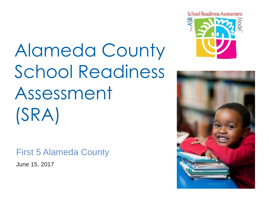# Alameda County School Readiness Assessment (SRA)

#### First 5 Alameda County

June 15, 2017



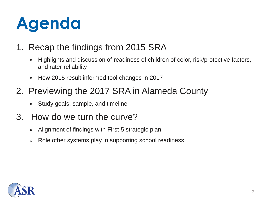# **Agenda**

#### 1. Recap the findings from 2015 SRA

- » Highlights and discussion of readiness of children of color, risk/protective factors, and rater reliability
- » How 2015 result informed tool changes in 2017

#### 2. Previewing the 2017 SRA in Alameda County

» Study goals, sample, and timeline

#### 3. How do we turn the curve?

- » Alignment of findings with First 5 strategic plan
- » Role other systems play in supporting school readiness

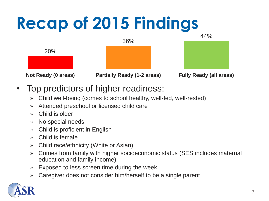

- Top predictors of higher readiness:
	- » Child well-being (comes to school healthy, well-fed, well-rested)
	- » Attended preschool or licensed child care
	- » Child is older
	- » No special needs
	- » Child is proficient in English
	- » Child is female
	- » Child race/ethnicity (White or Asian)
	- » Comes from family with higher socioeconomic status (SES includes maternal education and family income)
	- » Exposed to less screen time during the week
	- » Caregiver does not consider him/herself to be a single parent

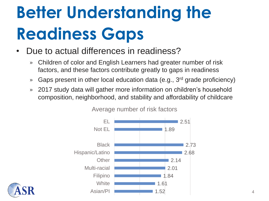# **Better Understanding the Readiness Gaps**

- Due to actual differences in readiness?
	- » Children of color and English Learners had greater number of risk factors, and these factors contribute greatly to gaps in readiness
	- » Gaps present in other local education data (e.g., 3<sup>rd</sup> grade proficiency)
	- » 2017 study data will gather more information on children's household composition, neighborhood, and stability and affordability of childcare



Average number of risk factors

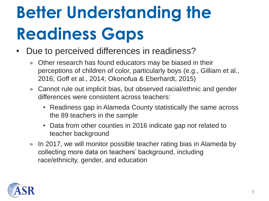# **Better Understanding the Readiness Gaps**

- Due to perceived differences in readiness?
	- » Other research has found educators may be biased in their perceptions of children of color, particularly boys (e.g., Gilliam et al., 2016; Goff et al., 2014; Okonofua & Eberhardt, 2015)
	- » Cannot rule out implicit bias, but observed racial/ethnic and gender differences were consistent across teachers:
		- Readiness gap in Alameda County statistically the same across the 89 teachers in the sample
		- Data from other counties in 2016 indicate gap not related to teacher background
	- » In 2017, we will monitor possible teacher rating bias in Alameda by collecting more data on teachers' background, including race/ethnicity, gender, and education

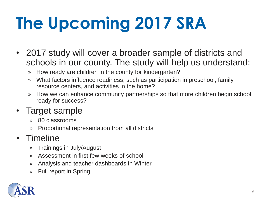# **The Upcoming 2017 SRA**

- 2017 study will cover a broader sample of districts and schools in our county. The study will help us understand:
	- » How ready are children in the county for kindergarten?
	- » What factors influence readiness, such as participation in preschool, family resource centers, and activities in the home?
	- » How we can enhance community partnerships so that more children begin school ready for success?

#### • Target sample

- » 80 classrooms
- » Proportional representation from all districts

#### • Timeline

- » Trainings in July/August
- » Assessment in first few weeks of school
- » Analysis and teacher dashboards in Winter
- » Full report in Spring

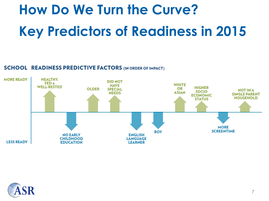## **How Do We Turn the Curve? Key Predictors of Readiness in 2015**

#### **SCHOOL READINESS PREDICTIVE FACTORS (IN ORDER OF IMPACT)**



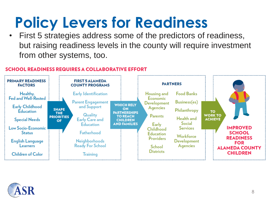### **Policy Levers for Readiness**

• First 5 strategies address some of the predictors of readiness, but raising readiness levels in the county will require investment from other systems, too.

#### **SCHOOL READINESS REQUIRES A COLLABORATIVE EFFORT**



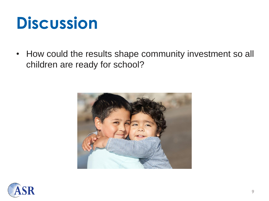### **Discussion**

• How could the results shape community investment so all children are ready for school?